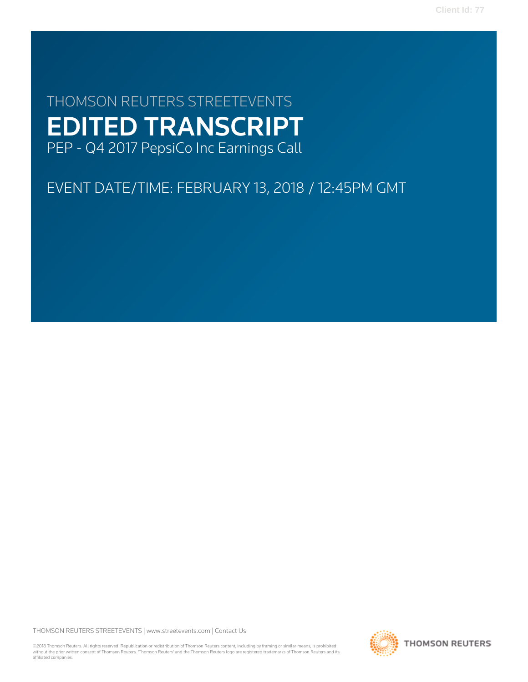**Client Id: 77**

# THOMSON REUTERS STREETEVENTS EDITED TRANSCRIPT PEP - Q4 2017 PepsiCo Inc Earnings Call

# EVENT DATE/TIME: FEBRUARY 13, 2018 / 12:45PM GMT

THOMSON REUTERS STREETEVENTS | [www.streetevents.com](http://www.streetevents.com) | [Contact Us](http://www010.streetevents.com/contact.asp)

©2018 Thomson Reuters. All rights reserved. Republication or redistribution of Thomson Reuters content, including by framing or similar means, is prohibited without the prior written consent of Thomson Reuters. 'Thomson Reuters' and the Thomson Reuters logo are registered trademarks of Thomson Reuters and its affiliated companies.

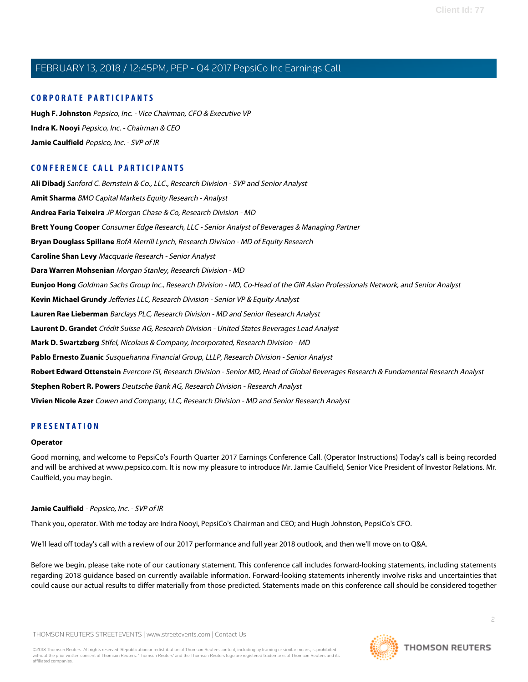# **CORPORATE PARTICIPANTS**

**[Hugh F. Johnston](#page-4-0)** Pepsico, Inc. - Vice Chairman, CFO & Executive VP **[Indra K. Nooyi](#page-2-0)** Pepsico, Inc. - Chairman & CEO **[Jamie Caulfield](#page-1-0)** Pepsico, Inc. - SVP of IR

# **CONFERENCE CALL PARTICIPANTS**

**[Ali Dibadj](#page-10-0)** Sanford C. Bernstein & Co., LLC., Research Division - SVP and Senior Analyst **[Amit Sharma](#page-16-0)** BMO Capital Markets Equity Research - Analyst **[Andrea Faria Teixeira](#page-13-0)** JP Morgan Chase & Co, Research Division - MD **[Brett Young Cooper](#page-15-0)** Consumer Edge Research, LLC - Senior Analyst of Beverages & Managing Partner **[Bryan Douglass Spillane](#page-7-0)** BofA Merrill Lynch, Research Division - MD of Equity Research **[Caroline Shan Levy](#page-8-0)** Macquarie Research - Senior Analyst **[Dara Warren Mohsenian](#page-6-0)** Morgan Stanley, Research Division - MD **[Eunjoo Hong](#page-12-0)** Goldman Sachs Group Inc., Research Division - MD, Co-Head of the GIR Asian Professionals Network, and Senior Analyst **[Kevin Michael Grundy](#page-7-1)** Jefferies LLC, Research Division - Senior VP & Equity Analyst **[Lauren Rae Lieberman](#page-12-1)** Barclays PLC, Research Division - MD and Senior Research Analyst **[Laurent D. Grandet](#page-12-2)** Crédit Suisse AG, Research Division - United States Beverages Lead Analyst **[Mark D. Swartzberg](#page-15-1)** Stifel, Nicolaus & Company, Incorporated, Research Division - MD **[Pablo Ernesto Zuanic](#page-9-0)** Susquehanna Financial Group, LLLP, Research Division - Senior Analyst **[Robert Edward Ottenstein](#page-8-1)** Evercore ISI, Research Division - Senior MD, Head of Global Beverages Research & Fundamental Research Analyst **[Stephen Robert R. Powers](#page-14-0)** Deutsche Bank AG, Research Division - Research Analyst **[Vivien Nicole Azer](#page-10-1)** Cowen and Company, LLC, Research Division - MD and Senior Research Analyst

# **PRESENTATION**

# **Operator**

<span id="page-1-0"></span>Good morning, and welcome to PepsiCo's Fourth Quarter 2017 Earnings Conference Call. (Operator Instructions) Today's call is being recorded and will be archived at www.pepsico.com. It is now my pleasure to introduce Mr. Jamie Caulfield, Senior Vice President of Investor Relations. Mr. Caulfield, you may begin.

# **Jamie Caulfield** - Pepsico, Inc. - SVP of IR

Thank you, operator. With me today are Indra Nooyi, PepsiCo's Chairman and CEO; and Hugh Johnston, PepsiCo's CFO.

We'll lead off today's call with a review of our 2017 performance and full year 2018 outlook, and then we'll move on to Q&A.

Before we begin, please take note of our cautionary statement. This conference call includes forward-looking statements, including statements regarding 2018 guidance based on currently available information. Forward-looking statements inherently involve risks and uncertainties that could cause our actual results to differ materially from those predicted. Statements made on this conference call should be considered together

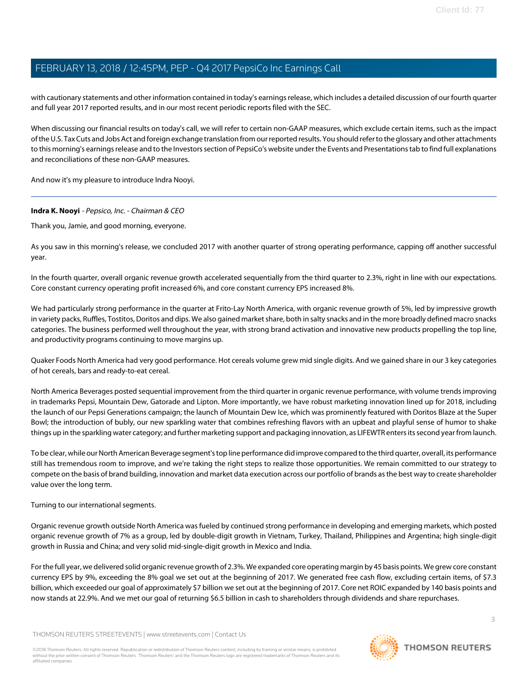with cautionary statements and other information contained in today's earnings release, which includes a detailed discussion of our fourth quarter and full year 2017 reported results, and in our most recent periodic reports filed with the SEC.

When discussing our financial results on today's call, we will refer to certain non-GAAP measures, which exclude certain items, such as the impact of the U.S. Tax Cuts and Jobs Act and foreign exchange translation from our reported results. You should refer to the glossary and other attachments to this morning's earnings release and to the Investors section of PepsiCo's website under the Events and Presentations tab to find full explanations and reconciliations of these non-GAAP measures.

<span id="page-2-0"></span>And now it's my pleasure to introduce Indra Nooyi.

# **Indra K. Nooyi** - Pepsico, Inc. - Chairman & CEO

Thank you, Jamie, and good morning, everyone.

As you saw in this morning's release, we concluded 2017 with another quarter of strong operating performance, capping off another successful year.

In the fourth quarter, overall organic revenue growth accelerated sequentially from the third quarter to 2.3%, right in line with our expectations. Core constant currency operating profit increased 6%, and core constant currency EPS increased 8%.

We had particularly strong performance in the quarter at Frito-Lay North America, with organic revenue growth of 5%, led by impressive growth in variety packs, Ruffles, Tostitos, Doritos and dips. We also gained market share, both in salty snacks and in the more broadly defined macro snacks categories. The business performed well throughout the year, with strong brand activation and innovative new products propelling the top line, and productivity programs continuing to move margins up.

Quaker Foods North America had very good performance. Hot cereals volume grew mid single digits. And we gained share in our 3 key categories of hot cereals, bars and ready-to-eat cereal.

North America Beverages posted sequential improvement from the third quarter in organic revenue performance, with volume trends improving in trademarks Pepsi, Mountain Dew, Gatorade and Lipton. More importantly, we have robust marketing innovation lined up for 2018, including the launch of our Pepsi Generations campaign; the launch of Mountain Dew Ice, which was prominently featured with Doritos Blaze at the Super Bowl; the introduction of bubly, our new sparkling water that combines refreshing flavors with an upbeat and playful sense of humor to shake things up in the sparkling water category; and further marketing support and packaging innovation, as LIFEWTR enters its second year from launch.

To be clear, while our North American Beverage segment's top line performance did improve compared to the third quarter, overall, its performance still has tremendous room to improve, and we're taking the right steps to realize those opportunities. We remain committed to our strategy to compete on the basis of brand building, innovation and market data execution across our portfolio of brands as the best way to create shareholder value over the long term.

Turning to our international segments.

Organic revenue growth outside North America was fueled by continued strong performance in developing and emerging markets, which posted organic revenue growth of 7% as a group, led by double-digit growth in Vietnam, Turkey, Thailand, Philippines and Argentina; high single-digit growth in Russia and China; and very solid mid-single-digit growth in Mexico and India.

For the full year, we delivered solid organic revenue growth of 2.3%. We expanded core operating margin by 45 basis points. We grew core constant currency EPS by 9%, exceeding the 8% goal we set out at the beginning of 2017. We generated free cash flow, excluding certain items, of \$7.3 billion, which exceeded our goal of approximately \$7 billion we set out at the beginning of 2017. Core net ROIC expanded by 140 basis points and now stands at 22.9%. And we met our goal of returning \$6.5 billion in cash to shareholders through dividends and share repurchases.

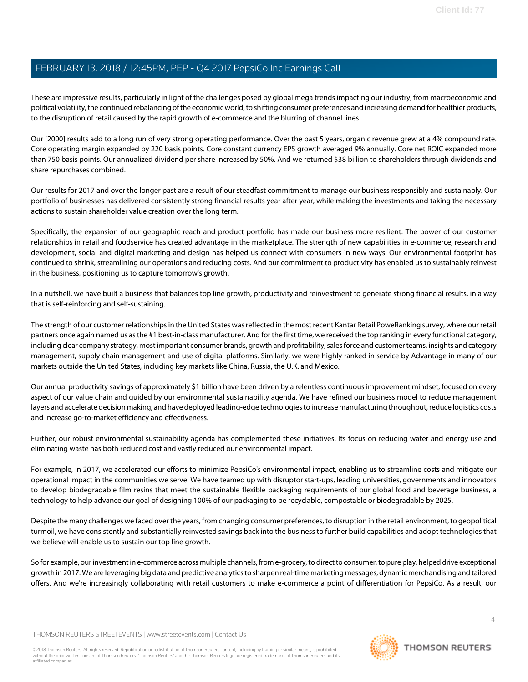These are impressive results, particularly in light of the challenges posed by global mega trends impacting our industry, from macroeconomic and political volatility, the continued rebalancing of the economic world, to shifting consumer preferences and increasing demand for healthier products, to the disruption of retail caused by the rapid growth of e-commerce and the blurring of channel lines.

Our [2000] results add to a long run of very strong operating performance. Over the past 5 years, organic revenue grew at a 4% compound rate. Core operating margin expanded by 220 basis points. Core constant currency EPS growth averaged 9% annually. Core net ROIC expanded more than 750 basis points. Our annualized dividend per share increased by 50%. And we returned \$38 billion to shareholders through dividends and share repurchases combined.

Our results for 2017 and over the longer past are a result of our steadfast commitment to manage our business responsibly and sustainably. Our portfolio of businesses has delivered consistently strong financial results year after year, while making the investments and taking the necessary actions to sustain shareholder value creation over the long term.

Specifically, the expansion of our geographic reach and product portfolio has made our business more resilient. The power of our customer relationships in retail and foodservice has created advantage in the marketplace. The strength of new capabilities in e-commerce, research and development, social and digital marketing and design has helped us connect with consumers in new ways. Our environmental footprint has continued to shrink, streamlining our operations and reducing costs. And our commitment to productivity has enabled us to sustainably reinvest in the business, positioning us to capture tomorrow's growth.

In a nutshell, we have built a business that balances top line growth, productivity and reinvestment to generate strong financial results, in a way that is self-reinforcing and self-sustaining.

The strength of our customer relationships in the United States was reflected in the most recent Kantar Retail PoweRanking survey, where our retail partners once again named us as the #1 best-in-class manufacturer. And for the first time, we received the top ranking in every functional category, including clear company strategy, most important consumer brands, growth and profitability, sales force and customer teams, insights and category management, supply chain management and use of digital platforms. Similarly, we were highly ranked in service by Advantage in many of our markets outside the United States, including key markets like China, Russia, the U.K. and Mexico.

Our annual productivity savings of approximately \$1 billion have been driven by a relentless continuous improvement mindset, focused on every aspect of our value chain and guided by our environmental sustainability agenda. We have refined our business model to reduce management layers and accelerate decision making, and have deployed leading-edge technologies to increase manufacturing throughput, reduce logistics costs and increase go-to-market efficiency and effectiveness.

Further, our robust environmental sustainability agenda has complemented these initiatives. Its focus on reducing water and energy use and eliminating waste has both reduced cost and vastly reduced our environmental impact.

For example, in 2017, we accelerated our efforts to minimize PepsiCo's environmental impact, enabling us to streamline costs and mitigate our operational impact in the communities we serve. We have teamed up with disruptor start-ups, leading universities, governments and innovators to develop biodegradable film resins that meet the sustainable flexible packaging requirements of our global food and beverage business, a technology to help advance our goal of designing 100% of our packaging to be recyclable, compostable or biodegradable by 2025.

Despite the many challenges we faced over the years, from changing consumer preferences, to disruption in the retail environment, to geopolitical turmoil, we have consistently and substantially reinvested savings back into the business to further build capabilities and adopt technologies that we believe will enable us to sustain our top line growth.

So for example, our investment in e-commerce across multiple channels, from e-grocery, to direct to consumer, to pure play, helped drive exceptional growth in 2017. We are leveraging big data and predictive analytics to sharpen real-time marketing messages, dynamic merchandising and tailored offers. And we're increasingly collaborating with retail customers to make e-commerce a point of differentiation for PepsiCo. As a result, our

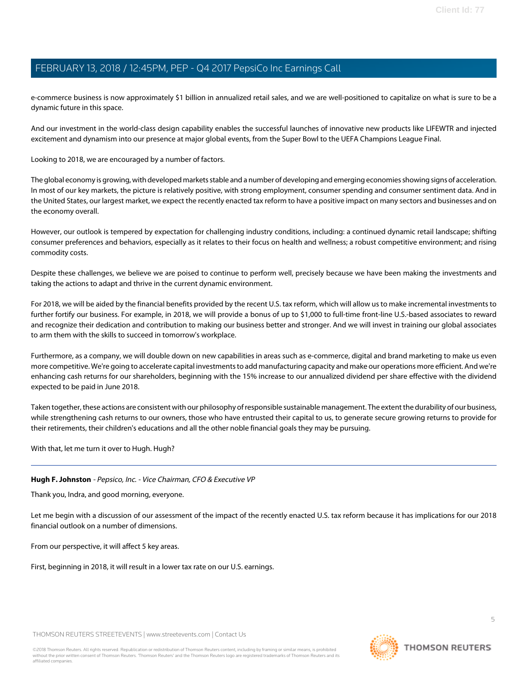e-commerce business is now approximately \$1 billion in annualized retail sales, and we are well-positioned to capitalize on what is sure to be a dynamic future in this space.

And our investment in the world-class design capability enables the successful launches of innovative new products like LIFEWTR and injected excitement and dynamism into our presence at major global events, from the Super Bowl to the UEFA Champions League Final.

Looking to 2018, we are encouraged by a number of factors.

The global economy is growing, with developed markets stable and a number of developing and emerging economies showing signs of acceleration. In most of our key markets, the picture is relatively positive, with strong employment, consumer spending and consumer sentiment data. And in the United States, our largest market, we expect the recently enacted tax reform to have a positive impact on many sectors and businesses and on the economy overall.

However, our outlook is tempered by expectation for challenging industry conditions, including: a continued dynamic retail landscape; shifting consumer preferences and behaviors, especially as it relates to their focus on health and wellness; a robust competitive environment; and rising commodity costs.

Despite these challenges, we believe we are poised to continue to perform well, precisely because we have been making the investments and taking the actions to adapt and thrive in the current dynamic environment.

For 2018, we will be aided by the financial benefits provided by the recent U.S. tax reform, which will allow us to make incremental investments to further fortify our business. For example, in 2018, we will provide a bonus of up to \$1,000 to full-time front-line U.S.-based associates to reward and recognize their dedication and contribution to making our business better and stronger. And we will invest in training our global associates to arm them with the skills to succeed in tomorrow's workplace.

Furthermore, as a company, we will double down on new capabilities in areas such as e-commerce, digital and brand marketing to make us even more competitive. We're going to accelerate capital investments to add manufacturing capacity and make our operations more efficient. And we're enhancing cash returns for our shareholders, beginning with the 15% increase to our annualized dividend per share effective with the dividend expected to be paid in June 2018.

Taken together, these actions are consistent with our philosophy of responsible sustainable management. The extent the durability of our business, while strengthening cash returns to our owners, those who have entrusted their capital to us, to generate secure growing returns to provide for their retirements, their children's educations and all the other noble financial goals they may be pursuing.

<span id="page-4-0"></span>With that, let me turn it over to Hugh. Hugh?

# **Hugh F. Johnston** - Pepsico, Inc. - Vice Chairman, CFO & Executive VP

Thank you, Indra, and good morning, everyone.

Let me begin with a discussion of our assessment of the impact of the recently enacted U.S. tax reform because it has implications for our 2018 financial outlook on a number of dimensions.

From our perspective, it will affect 5 key areas.

First, beginning in 2018, it will result in a lower tax rate on our U.S. earnings.

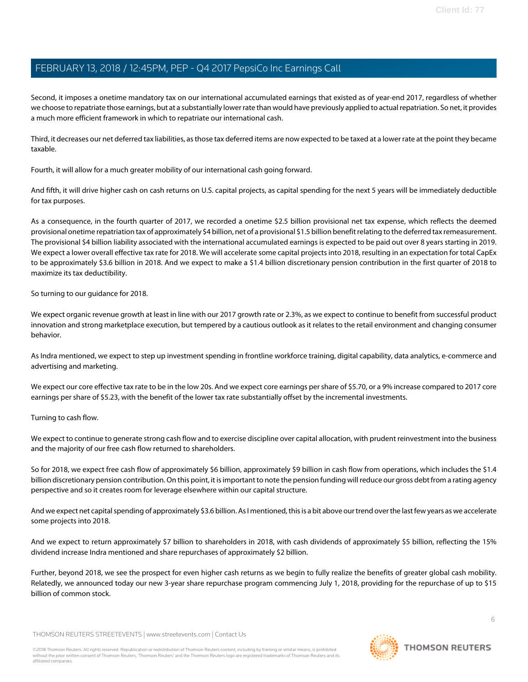Second, it imposes a onetime mandatory tax on our international accumulated earnings that existed as of year-end 2017, regardless of whether we choose to repatriate those earnings, but at a substantially lower rate than would have previously applied to actual repatriation. So net, it provides a much more efficient framework in which to repatriate our international cash.

Third, it decreases our net deferred tax liabilities, as those tax deferred items are now expected to be taxed at a lower rate at the point they became taxable.

Fourth, it will allow for a much greater mobility of our international cash going forward.

And fifth, it will drive higher cash on cash returns on U.S. capital projects, as capital spending for the next 5 years will be immediately deductible for tax purposes.

As a consequence, in the fourth quarter of 2017, we recorded a onetime \$2.5 billion provisional net tax expense, which reflects the deemed provisional onetime repatriation tax of approximately \$4 billion, net of a provisional \$1.5 billion benefit relating to the deferred tax remeasurement. The provisional \$4 billion liability associated with the international accumulated earnings is expected to be paid out over 8 years starting in 2019. We expect a lower overall effective tax rate for 2018. We will accelerate some capital projects into 2018, resulting in an expectation for total CapEx to be approximately \$3.6 billion in 2018. And we expect to make a \$1.4 billion discretionary pension contribution in the first quarter of 2018 to maximize its tax deductibility.

So turning to our guidance for 2018.

We expect organic revenue growth at least in line with our 2017 growth rate or 2.3%, as we expect to continue to benefit from successful product innovation and strong marketplace execution, but tempered by a cautious outlook as it relates to the retail environment and changing consumer behavior.

As Indra mentioned, we expect to step up investment spending in frontline workforce training, digital capability, data analytics, e-commerce and advertising and marketing.

We expect our core effective tax rate to be in the low 20s. And we expect core earnings per share of \$5.70, or a 9% increase compared to 2017 core earnings per share of \$5.23, with the benefit of the lower tax rate substantially offset by the incremental investments.

Turning to cash flow.

We expect to continue to generate strong cash flow and to exercise discipline over capital allocation, with prudent reinvestment into the business and the majority of our free cash flow returned to shareholders.

So for 2018, we expect free cash flow of approximately \$6 billion, approximately \$9 billion in cash flow from operations, which includes the \$1.4 billion discretionary pension contribution. On this point, it is important to note the pension funding will reduce our gross debt from a rating agency perspective and so it creates room for leverage elsewhere within our capital structure.

And we expect net capital spending of approximately \$3.6 billion. As I mentioned, this is a bit above our trend over the last few years as we accelerate some projects into 2018.

And we expect to return approximately \$7 billion to shareholders in 2018, with cash dividends of approximately \$5 billion, reflecting the 15% dividend increase Indra mentioned and share repurchases of approximately \$2 billion.

Further, beyond 2018, we see the prospect for even higher cash returns as we begin to fully realize the benefits of greater global cash mobility. Relatedly, we announced today our new 3-year share repurchase program commencing July 1, 2018, providing for the repurchase of up to \$15 billion of common stock.

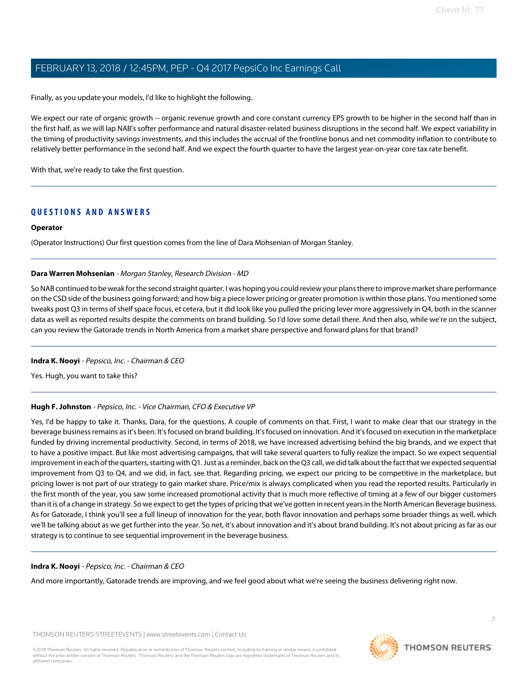Finally, as you update your models, I'd like to highlight the following.

We expect our rate of organic growth -- organic revenue growth and core constant currency EPS growth to be higher in the second half than in the first half, as we will lap NAB's softer performance and natural disaster-related business disruptions in the second half. We expect variability in the timing of productivity savings investments, and this includes the accrual of the frontline bonus and net commodity inflation to contribute to relatively better performance in the second half. And we expect the fourth quarter to have the largest year-on-year core tax rate benefit.

With that, we're ready to take the first question.

# **QUESTIONS AND ANSWERS**

# **Operator**

<span id="page-6-0"></span>(Operator Instructions) Our first question comes from the line of Dara Mohsenian of Morgan Stanley.

#### **Dara Warren Mohsenian** - Morgan Stanley, Research Division - MD

So NAB continued to be weak for the second straight quarter. I was hoping you could review your plans there to improve market share performance on the CSD side of the business going forward; and how big a piece lower pricing or greater promotion is within those plans. You mentioned some tweaks post Q3 in terms of shelf space focus, et cetera, but it did look like you pulled the pricing lever more aggressively in Q4, both in the scanner data as well as reported results despite the comments on brand building. So I'd love some detail there. And then also, while we're on the subject, can you review the Gatorade trends in North America from a market share perspective and forward plans for that brand?

# **Indra K. Nooyi** - Pepsico, Inc. - Chairman & CEO

Yes. Hugh, you want to take this?

# **Hugh F. Johnston** - Pepsico, Inc. - Vice Chairman, CFO & Executive VP

Yes, I'd be happy to take it. Thanks, Dara, for the questions. A couple of comments on that. First, I want to make clear that our strategy in the beverage business remains as it's been. It's focused on brand building. It's focused on innovation. And it's focused on execution in the marketplace funded by driving incremental productivity. Second, in terms of 2018, we have increased advertising behind the big brands, and we expect that to have a positive impact. But like most advertising campaigns, that will take several quarters to fully realize the impact. So we expect sequential improvement in each of the quarters, starting with Q1. Just as a reminder, back on the Q3 call, we did talk about the fact that we expected sequential improvement from Q3 to Q4, and we did, in fact, see that. Regarding pricing, we expect our pricing to be competitive in the marketplace, but pricing lower is not part of our strategy to gain market share. Price/mix is always complicated when you read the reported results. Particularly in the first month of the year, you saw some increased promotional activity that is much more reflective of timing at a few of our bigger customers than it is of a change in strategy. So we expect to get the types of pricing that we've gotten in recent years in the North American Beverage business. As for Gatorade, I think you'll see a full lineup of innovation for the year, both flavor innovation and perhaps some broader things as well, which we'll be talking about as we get further into the year. So net, it's about innovation and it's about brand building. It's not about pricing as far as our strategy is to continue to see sequential improvement in the beverage business.

# **Indra K. Nooyi** - Pepsico, Inc. - Chairman & CEO

And more importantly, Gatorade trends are improving, and we feel good about what we're seeing the business delivering right now.

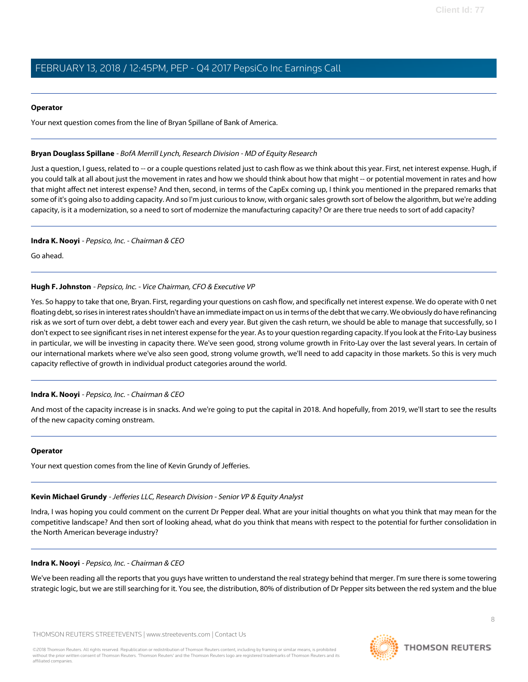#### **Operator**

<span id="page-7-0"></span>Your next question comes from the line of Bryan Spillane of Bank of America.

#### **Bryan Douglass Spillane** - BofA Merrill Lynch, Research Division - MD of Equity Research

Just a question, I quess, related to -- or a couple questions related just to cash flow as we think about this year. First, net interest expense. Hugh, if you could talk at all about just the movement in rates and how we should think about how that might -- or potential movement in rates and how that might affect net interest expense? And then, second, in terms of the CapEx coming up, I think you mentioned in the prepared remarks that some of it's going also to adding capacity. And so I'm just curious to know, with organic sales growth sort of below the algorithm, but we're adding capacity, is it a modernization, so a need to sort of modernize the manufacturing capacity? Or are there true needs to sort of add capacity?

#### **Indra K. Nooyi** - Pepsico, Inc. - Chairman & CEO

Go ahead.

# **Hugh F. Johnston** - Pepsico, Inc. - Vice Chairman, CFO & Executive VP

Yes. So happy to take that one, Bryan. First, regarding your questions on cash flow, and specifically net interest expense. We do operate with 0 net floating debt, so rises in interest rates shouldn't have an immediate impact on us in terms of the debt that we carry. We obviously do have refinancing risk as we sort of turn over debt, a debt tower each and every year. But given the cash return, we should be able to manage that successfully, so I don't expect to see significant rises in net interest expense for the year. As to your question regarding capacity. If you look at the Frito-Lay business in particular, we will be investing in capacity there. We've seen good, strong volume growth in Frito-Lay over the last several years. In certain of our international markets where we've also seen good, strong volume growth, we'll need to add capacity in those markets. So this is very much capacity reflective of growth in individual product categories around the world.

# **Indra K. Nooyi** - Pepsico, Inc. - Chairman & CEO

And most of the capacity increase is in snacks. And we're going to put the capital in 2018. And hopefully, from 2019, we'll start to see the results of the new capacity coming onstream.

#### <span id="page-7-1"></span>**Operator**

Your next question comes from the line of Kevin Grundy of Jefferies.

# **Kevin Michael Grundy** - Jefferies LLC, Research Division - Senior VP & Equity Analyst

Indra, I was hoping you could comment on the current Dr Pepper deal. What are your initial thoughts on what you think that may mean for the competitive landscape? And then sort of looking ahead, what do you think that means with respect to the potential for further consolidation in the North American beverage industry?

#### **Indra K. Nooyi** - Pepsico, Inc. - Chairman & CEO

We've been reading all the reports that you guys have written to understand the real strategy behind that merger. I'm sure there is some towering strategic logic, but we are still searching for it. You see, the distribution, 80% of distribution of Dr Pepper sits between the red system and the blue

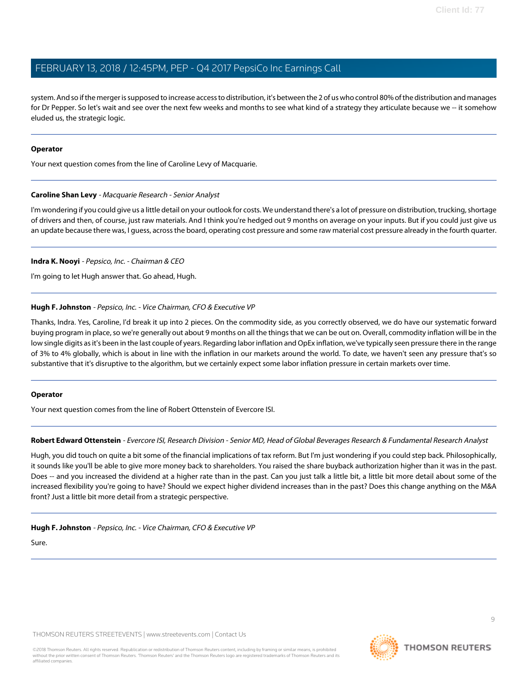system. And so if the merger is supposed to increase access to distribution, it's between the 2 of us who control 80% of the distribution and manages for Dr Pepper. So let's wait and see over the next few weeks and months to see what kind of a strategy they articulate because we -- it somehow eluded us, the strategic logic.

# **Operator**

<span id="page-8-0"></span>Your next question comes from the line of Caroline Levy of Macquarie.

# **Caroline Shan Levy** - Macquarie Research - Senior Analyst

I'm wondering if you could give us a little detail on your outlook for costs. We understand there's a lot of pressure on distribution, trucking, shortage of drivers and then, of course, just raw materials. And I think you're hedged out 9 months on average on your inputs. But if you could just give us an update because there was, I guess, across the board, operating cost pressure and some raw material cost pressure already in the fourth quarter.

# **Indra K. Nooyi** - Pepsico, Inc. - Chairman & CEO

I'm going to let Hugh answer that. Go ahead, Hugh.

# **Hugh F. Johnston** - Pepsico, Inc. - Vice Chairman, CFO & Executive VP

Thanks, Indra. Yes, Caroline, I'd break it up into 2 pieces. On the commodity side, as you correctly observed, we do have our systematic forward buying program in place, so we're generally out about 9 months on all the things that we can be out on. Overall, commodity inflation will be in the low single digits as it's been in the last couple of years. Regarding labor inflation and OpEx inflation, we've typically seen pressure there in the range of 3% to 4% globally, which is about in line with the inflation in our markets around the world. To date, we haven't seen any pressure that's so substantive that it's disruptive to the algorithm, but we certainly expect some labor inflation pressure in certain markets over time.

# <span id="page-8-1"></span>**Operator**

Your next question comes from the line of Robert Ottenstein of Evercore ISI.

# **Robert Edward Ottenstein** - Evercore ISI, Research Division - Senior MD, Head of Global Beverages Research & Fundamental Research Analyst

Hugh, you did touch on quite a bit some of the financial implications of tax reform. But I'm just wondering if you could step back. Philosophically, it sounds like you'll be able to give more money back to shareholders. You raised the share buyback authorization higher than it was in the past. Does -- and you increased the dividend at a higher rate than in the past. Can you just talk a little bit, a little bit more detail about some of the increased flexibility you're going to have? Should we expect higher dividend increases than in the past? Does this change anything on the M&A front? Just a little bit more detail from a strategic perspective.

# **Hugh F. Johnston** - Pepsico, Inc. - Vice Chairman, CFO & Executive VP

Sure.

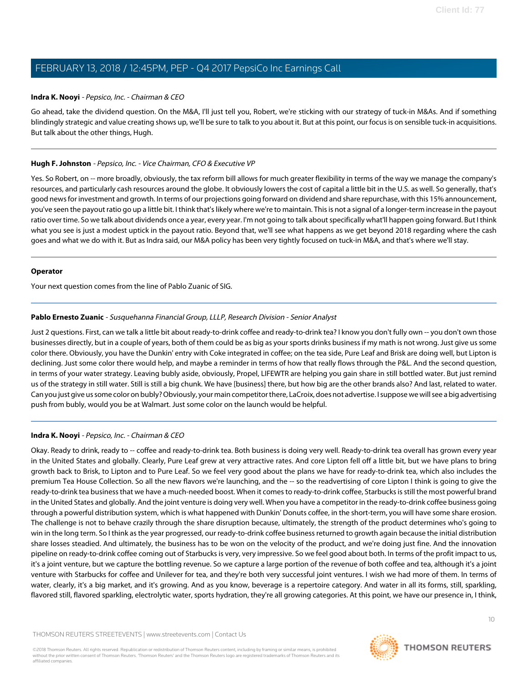#### **Indra K. Nooyi** - Pepsico, Inc. - Chairman & CEO

Go ahead, take the dividend question. On the M&A, I'll just tell you, Robert, we're sticking with our strategy of tuck-in M&As. And if something blindingly strategic and value creating shows up, we'll be sure to talk to you about it. But at this point, our focus is on sensible tuck-in acquisitions. But talk about the other things, Hugh.

# **Hugh F. Johnston** - Pepsico, Inc. - Vice Chairman, CFO & Executive VP

Yes. So Robert, on -- more broadly, obviously, the tax reform bill allows for much greater flexibility in terms of the way we manage the company's resources, and particularly cash resources around the globe. It obviously lowers the cost of capital a little bit in the U.S. as well. So generally, that's good news for investment and growth. In terms of our projections going forward on dividend and share repurchase, with this 15% announcement, you've seen the payout ratio go up a little bit. I think that's likely where we're to maintain. This is not a signal of a longer-term increase in the payout ratio over time. So we talk about dividends once a year, every year. I'm not going to talk about specifically what'll happen going forward. But I think what you see is just a modest uptick in the payout ratio. Beyond that, we'll see what happens as we get beyond 2018 regarding where the cash goes and what we do with it. But as Indra said, our M&A policy has been very tightly focused on tuck-in M&A, and that's where we'll stay.

#### **Operator**

<span id="page-9-0"></span>Your next question comes from the line of Pablo Zuanic of SIG.

# **Pablo Ernesto Zuanic** - Susquehanna Financial Group, LLLP, Research Division - Senior Analyst

Just 2 questions. First, can we talk a little bit about ready-to-drink coffee and ready-to-drink tea? I know you don't fully own -- you don't own those businesses directly, but in a couple of years, both of them could be as big as your sports drinks business if my math is not wrong. Just give us some color there. Obviously, you have the Dunkin' entry with Coke integrated in coffee; on the tea side, Pure Leaf and Brisk are doing well, but Lipton is declining. Just some color there would help, and maybe a reminder in terms of how that really flows through the P&L. And the second question, in terms of your water strategy. Leaving bubly aside, obviously, Propel, LIFEWTR are helping you gain share in still bottled water. But just remind us of the strategy in still water. Still is still a big chunk. We have [business] there, but how big are the other brands also? And last, related to water. Can you just give us some color on bubly? Obviously, your main competitor there, LaCroix, does not advertise. I suppose we will see a big advertising push from bubly, would you be at Walmart. Just some color on the launch would be helpful.

# **Indra K. Nooyi** - Pepsico, Inc. - Chairman & CEO

Okay. Ready to drink, ready to -- coffee and ready-to-drink tea. Both business is doing very well. Ready-to-drink tea overall has grown every year in the United States and globally. Clearly, Pure Leaf grew at very attractive rates. And core Lipton fell off a little bit, but we have plans to bring growth back to Brisk, to Lipton and to Pure Leaf. So we feel very good about the plans we have for ready-to-drink tea, which also includes the premium Tea House Collection. So all the new flavors we're launching, and the -- so the readvertising of core Lipton I think is going to give the ready-to-drink tea business that we have a much-needed boost. When it comes to ready-to-drink coffee, Starbucks is still the most powerful brand in the United States and globally. And the joint venture is doing very well. When you have a competitor in the ready-to-drink coffee business going through a powerful distribution system, which is what happened with Dunkin' Donuts coffee, in the short-term, you will have some share erosion. The challenge is not to behave crazily through the share disruption because, ultimately, the strength of the product determines who's going to win in the long term. So I think as the year progressed, our ready-to-drink coffee business returned to growth again because the initial distribution share losses steadied. And ultimately, the business has to be won on the velocity of the product, and we're doing just fine. And the innovation pipeline on ready-to-drink coffee coming out of Starbucks is very, very impressive. So we feel good about both. In terms of the profit impact to us, it's a joint venture, but we capture the bottling revenue. So we capture a large portion of the revenue of both coffee and tea, although it's a joint venture with Starbucks for coffee and Unilever for tea, and they're both very successful joint ventures. I wish we had more of them. In terms of water, clearly, it's a big market, and it's growing. And as you know, beverage is a repertoire category. And water in all its forms, still, sparkling, flavored still, flavored sparkling, electrolytic water, sports hydration, they're all growing categories. At this point, we have our presence in, I think,

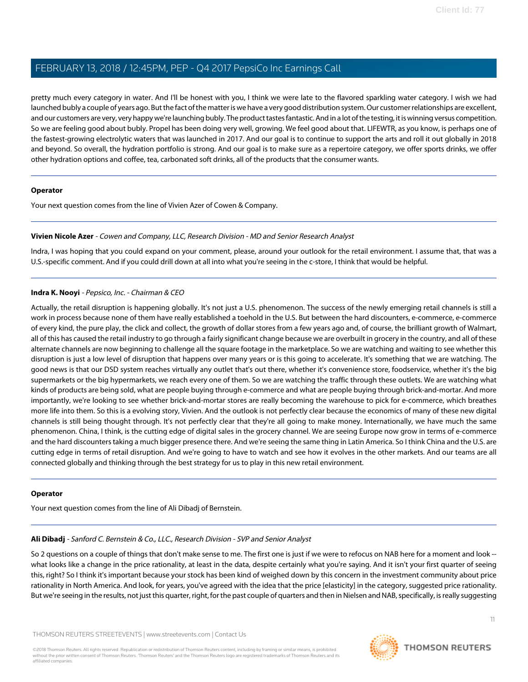pretty much every category in water. And I'll be honest with you, I think we were late to the flavored sparkling water category. I wish we had launched bubly a couple of years ago. But the fact of the matter is we have a very good distribution system. Our customer relationships are excellent, and our customers are very, very happy we're launching bubly. The product tastes fantastic. And in a lot of the testing, it is winning versus competition. So we are feeling good about bubly. Propel has been doing very well, growing. We feel good about that. LIFEWTR, as you know, is perhaps one of the fastest-growing electrolytic waters that was launched in 2017. And our goal is to continue to support the arts and roll it out globally in 2018 and beyond. So overall, the hydration portfolio is strong. And our goal is to make sure as a repertoire category, we offer sports drinks, we offer other hydration options and coffee, tea, carbonated soft drinks, all of the products that the consumer wants.

# **Operator**

<span id="page-10-1"></span>Your next question comes from the line of Vivien Azer of Cowen & Company.

# **Vivien Nicole Azer** - Cowen and Company, LLC, Research Division - MD and Senior Research Analyst

Indra, I was hoping that you could expand on your comment, please, around your outlook for the retail environment. I assume that, that was a U.S.-specific comment. And if you could drill down at all into what you're seeing in the c-store, I think that would be helpful.

# **Indra K. Nooyi** - Pepsico, Inc. - Chairman & CEO

Actually, the retail disruption is happening globally. It's not just a U.S. phenomenon. The success of the newly emerging retail channels is still a work in process because none of them have really established a toehold in the U.S. But between the hard discounters, e-commerce, e-commerce of every kind, the pure play, the click and collect, the growth of dollar stores from a few years ago and, of course, the brilliant growth of Walmart, all of this has caused the retail industry to go through a fairly significant change because we are overbuilt in grocery in the country, and all of these alternate channels are now beginning to challenge all the square footage in the marketplace. So we are watching and waiting to see whether this disruption is just a low level of disruption that happens over many years or is this going to accelerate. It's something that we are watching. The good news is that our DSD system reaches virtually any outlet that's out there, whether it's convenience store, foodservice, whether it's the big supermarkets or the big hypermarkets, we reach every one of them. So we are watching the traffic through these outlets. We are watching what kinds of products are being sold, what are people buying through e-commerce and what are people buying through brick-and-mortar. And more importantly, we're looking to see whether brick-and-mortar stores are really becoming the warehouse to pick for e-commerce, which breathes more life into them. So this is a evolving story, Vivien. And the outlook is not perfectly clear because the economics of many of these new digital channels is still being thought through. It's not perfectly clear that they're all going to make money. Internationally, we have much the same phenomenon. China, I think, is the cutting edge of digital sales in the grocery channel. We are seeing Europe now grow in terms of e-commerce and the hard discounters taking a much bigger presence there. And we're seeing the same thing in Latin America. So I think China and the U.S. are cutting edge in terms of retail disruption. And we're going to have to watch and see how it evolves in the other markets. And our teams are all connected globally and thinking through the best strategy for us to play in this new retail environment.

# <span id="page-10-0"></span>**Operator**

Your next question comes from the line of Ali Dibadj of Bernstein.

# **Ali Dibadj** - Sanford C. Bernstein & Co., LLC., Research Division - SVP and Senior Analyst

So 2 questions on a couple of things that don't make sense to me. The first one is just if we were to refocus on NAB here for a moment and look -what looks like a change in the price rationality, at least in the data, despite certainly what you're saying. And it isn't your first quarter of seeing this, right? So I think it's important because your stock has been kind of weighed down by this concern in the investment community about price rationality in North America. And look, for years, you've agreed with the idea that the price [elasticity] in the category, suggested price rationality. But we're seeing in the results, not just this quarter, right, for the past couple of quarters and then in Nielsen and NAB, specifically, is really suggesting

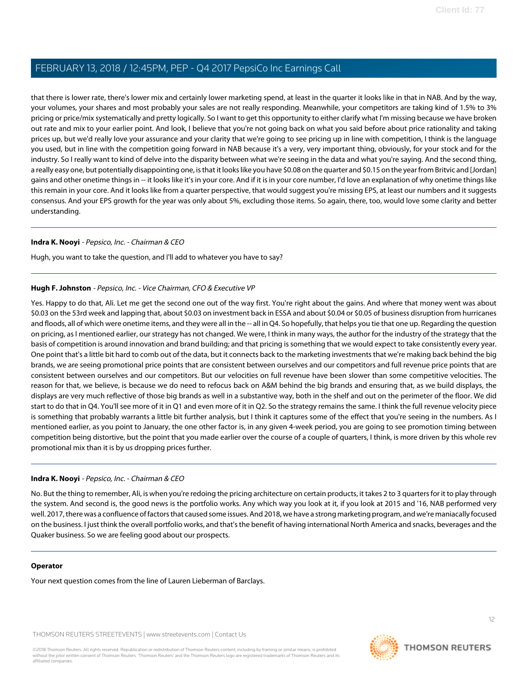that there is lower rate, there's lower mix and certainly lower marketing spend, at least in the quarter it looks like in that in NAB. And by the way, your volumes, your shares and most probably your sales are not really responding. Meanwhile, your competitors are taking kind of 1.5% to 3% pricing or price/mix systematically and pretty logically. So I want to get this opportunity to either clarify what I'm missing because we have broken out rate and mix to your earlier point. And look, I believe that you're not going back on what you said before about price rationality and taking prices up, but we'd really love your assurance and your clarity that we're going to see pricing up in line with competition, I think is the language you used, but in line with the competition going forward in NAB because it's a very, very important thing, obviously, for your stock and for the industry. So I really want to kind of delve into the disparity between what we're seeing in the data and what you're saying. And the second thing, a really easy one, but potentially disappointing one, is that it looks like you have \$0.08 on the quarter and \$0.15 on the year from Britvic and [Jordan] gains and other onetime things in -- it looks like it's in your core. And if it is in your core number, I'd love an explanation of why onetime things like this remain in your core. And it looks like from a quarter perspective, that would suggest you're missing EPS, at least our numbers and it suggests consensus. And your EPS growth for the year was only about 5%, excluding those items. So again, there, too, would love some clarity and better understanding.

# **Indra K. Nooyi** - Pepsico, Inc. - Chairman & CEO

Hugh, you want to take the question, and I'll add to whatever you have to say?

# **Hugh F. Johnston** - Pepsico, Inc. - Vice Chairman, CFO & Executive VP

Yes. Happy to do that, Ali. Let me get the second one out of the way first. You're right about the gains. And where that money went was about \$0.03 on the 53rd week and lapping that, about \$0.03 on investment back in ESSA and about \$0.04 or \$0.05 of business disruption from hurricanes and floods, all of which were onetime items, and they were all in the -- all in Q4. So hopefully, that helps you tie that one up. Regarding the question on pricing, as I mentioned earlier, our strategy has not changed. We were, I think in many ways, the author for the industry of the strategy that the basis of competition is around innovation and brand building; and that pricing is something that we would expect to take consistently every year. One point that's a little bit hard to comb out of the data, but it connects back to the marketing investments that we're making back behind the big brands, we are seeing promotional price points that are consistent between ourselves and our competitors and full revenue price points that are consistent between ourselves and our competitors. But our velocities on full revenue have been slower than some competitive velocities. The reason for that, we believe, is because we do need to refocus back on A&M behind the big brands and ensuring that, as we build displays, the displays are very much reflective of those big brands as well in a substantive way, both in the shelf and out on the perimeter of the floor. We did start to do that in Q4. You'll see more of it in Q1 and even more of it in Q2. So the strategy remains the same. I think the full revenue velocity piece is something that probably warrants a little bit further analysis, but I think it captures some of the effect that you're seeing in the numbers. As I mentioned earlier, as you point to January, the one other factor is, in any given 4-week period, you are going to see promotion timing between competition being distortive, but the point that you made earlier over the course of a couple of quarters, I think, is more driven by this whole rev promotional mix than it is by us dropping prices further.

# **Indra K. Nooyi** - Pepsico, Inc. - Chairman & CEO

No. But the thing to remember, Ali, is when you're redoing the pricing architecture on certain products, it takes 2 to 3 quarters for it to play through the system. And second is, the good news is the portfolio works. Any which way you look at it, if you look at 2015 and '16, NAB performed very well. 2017, there was a confluence of factors that caused some issues. And 2018, we have a strong marketing program, and we're maniacally focused on the business. I just think the overall portfolio works, and that's the benefit of having international North America and snacks, beverages and the Quaker business. So we are feeling good about our prospects.

# **Operator**

Your next question comes from the line of Lauren Lieberman of Barclays.

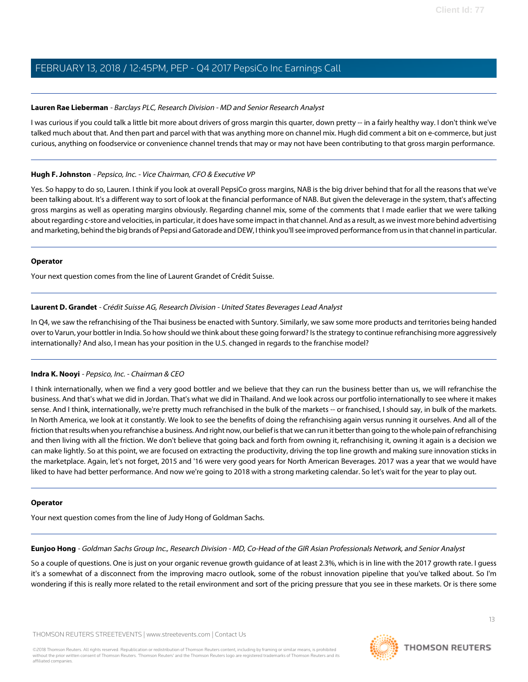# <span id="page-12-1"></span>**Lauren Rae Lieberman** - Barclays PLC, Research Division - MD and Senior Research Analyst

I was curious if you could talk a little bit more about drivers of gross margin this quarter, down pretty -- in a fairly healthy way. I don't think we've talked much about that. And then part and parcel with that was anything more on channel mix. Hugh did comment a bit on e-commerce, but just curious, anything on foodservice or convenience channel trends that may or may not have been contributing to that gross margin performance.

# **Hugh F. Johnston** - Pepsico, Inc. - Vice Chairman, CFO & Executive VP

Yes. So happy to do so, Lauren. I think if you look at overall PepsiCo gross margins, NAB is the big driver behind that for all the reasons that we've been talking about. It's a different way to sort of look at the financial performance of NAB. But given the deleverage in the system, that's affecting gross margins as well as operating margins obviously. Regarding channel mix, some of the comments that I made earlier that we were talking about regarding c-store and velocities, in particular, it does have some impact in that channel. And as a result, as we invest more behind advertising and marketing, behind the big brands of Pepsi and Gatorade and DEW, I think you'll see improved performance from us in that channel in particular.

# **Operator**

<span id="page-12-2"></span>Your next question comes from the line of Laurent Grandet of Crédit Suisse.

# **Laurent D. Grandet** - Crédit Suisse AG, Research Division - United States Beverages Lead Analyst

In Q4, we saw the refranchising of the Thai business be enacted with Suntory. Similarly, we saw some more products and territories being handed over to Varun, your bottler in India. So how should we think about these going forward? Is the strategy to continue refranchising more aggressively internationally? And also, I mean has your position in the U.S. changed in regards to the franchise model?

# **Indra K. Nooyi** - Pepsico, Inc. - Chairman & CEO

I think internationally, when we find a very good bottler and we believe that they can run the business better than us, we will refranchise the business. And that's what we did in Jordan. That's what we did in Thailand. And we look across our portfolio internationally to see where it makes sense. And I think, internationally, we're pretty much refranchised in the bulk of the markets -- or franchised, I should say, in bulk of the markets. In North America, we look at it constantly. We look to see the benefits of doing the refranchising again versus running it ourselves. And all of the friction that results when you refranchise a business. And right now, our belief is that we can run it better than going to the whole pain of refranchising and then living with all the friction. We don't believe that going back and forth from owning it, refranchising it, owning it again is a decision we can make lightly. So at this point, we are focused on extracting the productivity, driving the top line growth and making sure innovation sticks in the marketplace. Again, let's not forget, 2015 and '16 were very good years for North American Beverages. 2017 was a year that we would have liked to have had better performance. And now we're going to 2018 with a strong marketing calendar. So let's wait for the year to play out.

# <span id="page-12-0"></span>**Operator**

Your next question comes from the line of Judy Hong of Goldman Sachs.

**Eunjoo Hong** - Goldman Sachs Group Inc., Research Division - MD, Co-Head of the GIR Asian Professionals Network, and Senior Analyst

So a couple of questions. One is just on your organic revenue growth guidance of at least 2.3%, which is in line with the 2017 growth rate. I guess it's a somewhat of a disconnect from the improving macro outlook, some of the robust innovation pipeline that you've talked about. So I'm wondering if this is really more related to the retail environment and sort of the pricing pressure that you see in these markets. Or is there some

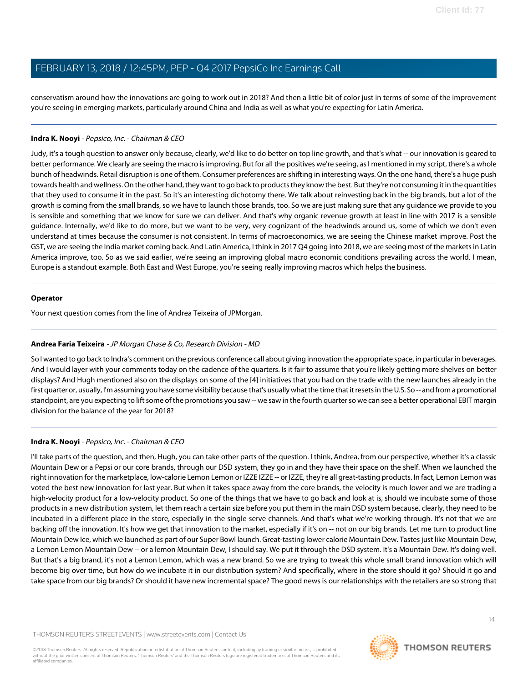conservatism around how the innovations are going to work out in 2018? And then a little bit of color just in terms of some of the improvement you're seeing in emerging markets, particularly around China and India as well as what you're expecting for Latin America.

# **Indra K. Nooyi** - Pepsico, Inc. - Chairman & CEO

Judy, it's a tough question to answer only because, clearly, we'd like to do better on top line growth, and that's what -- our innovation is geared to better performance. We clearly are seeing the macro is improving. But for all the positives we're seeing, as I mentioned in my script, there's a whole bunch of headwinds. Retail disruption is one of them. Consumer preferences are shifting in interesting ways. On the one hand, there's a huge push towards health and wellness. On the other hand, they want to go back to products they know the best. But they're not consuming it in the quantities that they used to consume it in the past. So it's an interesting dichotomy there. We talk about reinvesting back in the big brands, but a lot of the growth is coming from the small brands, so we have to launch those brands, too. So we are just making sure that any guidance we provide to you is sensible and something that we know for sure we can deliver. And that's why organic revenue growth at least in line with 2017 is a sensible guidance. Internally, we'd like to do more, but we want to be very, very cognizant of the headwinds around us, some of which we don't even understand at times because the consumer is not consistent. In terms of macroeconomics, we are seeing the Chinese market improve. Post the GST, we are seeing the India market coming back. And Latin America, I think in 2017 Q4 going into 2018, we are seeing most of the markets in Latin America improve, too. So as we said earlier, we're seeing an improving global macro economic conditions prevailing across the world. I mean, Europe is a standout example. Both East and West Europe, you're seeing really improving macros which helps the business.

# **Operator**

<span id="page-13-0"></span>Your next question comes from the line of Andrea Teixeira of JPMorgan.

# **Andrea Faria Teixeira** - JP Morgan Chase & Co, Research Division - MD

So I wanted to go back to Indra's comment on the previous conference call about giving innovation the appropriate space, in particular in beverages. And I would layer with your comments today on the cadence of the quarters. Is it fair to assume that you're likely getting more shelves on better displays? And Hugh mentioned also on the displays on some of the [4] initiatives that you had on the trade with the new launches already in the first quarter or, usually, I'm assuming you have some visibility because that's usually what the time that it resets in the U.S. So -- and from a promotional standpoint, are you expecting to lift some of the promotions you saw -- we saw in the fourth quarter so we can see a better operational EBIT margin division for the balance of the year for 2018?

# **Indra K. Nooyi** - Pepsico, Inc. - Chairman & CEO

I'll take parts of the question, and then, Hugh, you can take other parts of the question. I think, Andrea, from our perspective, whether it's a classic Mountain Dew or a Pepsi or our core brands, through our DSD system, they go in and they have their space on the shelf. When we launched the right innovation for the marketplace, low-calorie Lemon Lemon or IZZE IZZE -- or IZZE, they're all great-tasting products. In fact, Lemon Lemon was voted the best new innovation for last year. But when it takes space away from the core brands, the velocity is much lower and we are trading a high-velocity product for a low-velocity product. So one of the things that we have to go back and look at is, should we incubate some of those products in a new distribution system, let them reach a certain size before you put them in the main DSD system because, clearly, they need to be incubated in a different place in the store, especially in the single-serve channels. And that's what we're working through. It's not that we are backing off the innovation. It's how we get that innovation to the market, especially if it's on -- not on our big brands. Let me turn to product line Mountain Dew Ice, which we launched as part of our Super Bowl launch. Great-tasting lower calorie Mountain Dew. Tastes just like Mountain Dew, a Lemon Lemon Mountain Dew -- or a lemon Mountain Dew, I should say. We put it through the DSD system. It's a Mountain Dew. It's doing well. But that's a big brand, it's not a Lemon Lemon, which was a new brand. So we are trying to tweak this whole small brand innovation which will become big over time, but how do we incubate it in our distribution system? And specifically, where in the store should it go? Should it go and take space from our big brands? Or should it have new incremental space? The good news is our relationships with the retailers are so strong that

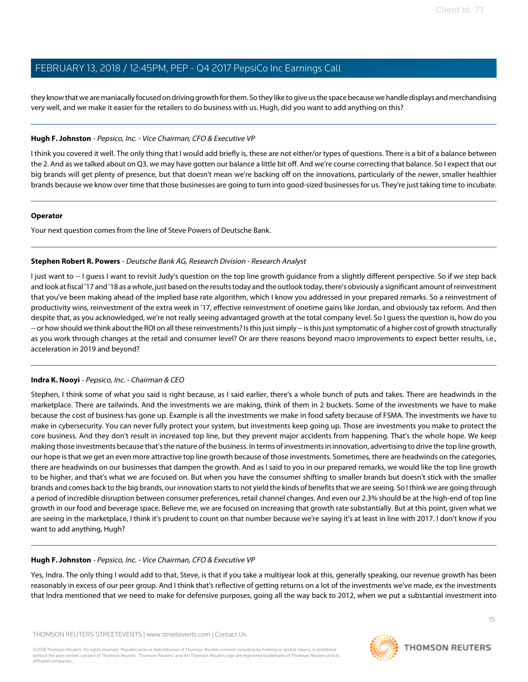they know that we are maniacally focused on driving growth for them. So they like to give us the space because we handle displays and merchandising very well, and we make it easier for the retailers to do business with us. Hugh, did you want to add anything on this?

# **Hugh F. Johnston** - Pepsico, Inc. - Vice Chairman, CFO & Executive VP

I think you covered it well. The only thing that I would add briefly is, these are not either/or types of questions. There is a bit of a balance between the 2. And as we talked about on Q3, we may have gotten our balance a little bit off. And we're course correcting that balance. So I expect that our big brands will get plenty of presence, but that doesn't mean we're backing off on the innovations, particularly of the newer, smaller healthier brands because we know over time that those businesses are going to turn into good-sized businesses for us. They're just taking time to incubate.

# **Operator**

<span id="page-14-0"></span>Your next question comes from the line of Steve Powers of Deutsche Bank.

# **Stephen Robert R. Powers** - Deutsche Bank AG, Research Division - Research Analyst

I just want to -- I guess I want to revisit Judy's question on the top line growth guidance from a slightly different perspective. So if we step back and look at fiscal '17 and '18 as a whole, just based on the results today and the outlook today, there's obviously a significant amount of reinvestment that you've been making ahead of the implied base rate algorithm, which I know you addressed in your prepared remarks. So a reinvestment of productivity wins, reinvestment of the extra week in '17, effective reinvestment of onetime gains like Jordan, and obviously tax reform. And then despite that, as you acknowledged, we're not really seeing advantaged growth at the total company level. So I guess the question is, how do you -- or how should we think about the ROI on all these reinvestments? Is this just simply -- is this just symptomatic of a higher cost of growth structurally as you work through changes at the retail and consumer level? Or are there reasons beyond macro improvements to expect better results, i.e., acceleration in 2019 and beyond?

# **Indra K. Nooyi** - Pepsico, Inc. - Chairman & CEO

Stephen, I think some of what you said is right because, as I said earlier, there's a whole bunch of puts and takes. There are headwinds in the marketplace. There are tailwinds. And the investments we are making, think of them in 2 buckets. Some of the investments we have to make because the cost of business has gone up. Example is all the investments we make in food safety because of FSMA. The investments we have to make in cybersecurity. You can never fully protect your system, but investments keep going up. Those are investments you make to protect the core business. And they don't result in increased top line, but they prevent major accidents from happening. That's the whole hope. We keep making those investments because that's the nature of the business. In terms of investments in innovation, advertising to drive the top line growth, our hope is that we get an even more attractive top line growth because of those investments. Sometimes, there are headwinds on the categories, there are headwinds on our businesses that dampen the growth. And as I said to you in our prepared remarks, we would like the top line growth to be higher, and that's what we are focused on. But when you have the consumer shifting to smaller brands but doesn't stick with the smaller brands and comes back to the big brands, our innovation starts to not yield the kinds of benefits that we are seeing. So I think we are going through a period of incredible disruption between consumer preferences, retail channel changes. And even our 2.3% should be at the high-end of top line growth in our food and beverage space. Believe me, we are focused on increasing that growth rate substantially. But at this point, given what we are seeing in the marketplace, I think it's prudent to count on that number because we're saying it's at least in line with 2017. I don't know if you want to add anything, Hugh?

# **Hugh F. Johnston** - Pepsico, Inc. - Vice Chairman, CFO & Executive VP

Yes, Indra. The only thing I would add to that, Steve, is that if you take a multiyear look at this, generally speaking, our revenue growth has been reasonably in excess of our peer group. And I think that's reflective of getting returns on a lot of the investments we've made, ex the investments that Indra mentioned that we need to make for defensive purposes, going all the way back to 2012, when we put a substantial investment into

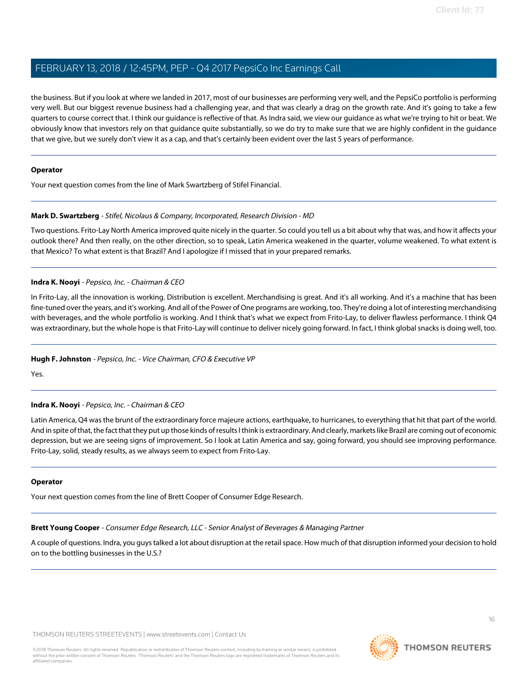the business. But if you look at where we landed in 2017, most of our businesses are performing very well, and the PepsiCo portfolio is performing very well. But our biggest revenue business had a challenging year, and that was clearly a drag on the growth rate. And it's going to take a few quarters to course correct that. I think our guidance is reflective of that. As Indra said, we view our guidance as what we're trying to hit or beat. We obviously know that investors rely on that guidance quite substantially, so we do try to make sure that we are highly confident in the guidance that we give, but we surely don't view it as a cap, and that's certainly been evident over the last 5 years of performance.

# **Operator**

<span id="page-15-1"></span>Your next question comes from the line of Mark Swartzberg of Stifel Financial.

# **Mark D. Swartzberg** - Stifel, Nicolaus & Company, Incorporated, Research Division - MD

Two questions. Frito-Lay North America improved quite nicely in the quarter. So could you tell us a bit about why that was, and how it affects your outlook there? And then really, on the other direction, so to speak, Latin America weakened in the quarter, volume weakened. To what extent is that Mexico? To what extent is that Brazil? And I apologize if I missed that in your prepared remarks.

# **Indra K. Nooyi** - Pepsico, Inc. - Chairman & CEO

In Frito-Lay, all the innovation is working. Distribution is excellent. Merchandising is great. And it's all working. And it's a machine that has been fine-tuned over the years, and it's working. And all of the Power of One programs are working, too. They're doing a lot of interesting merchandising with beverages, and the whole portfolio is working. And I think that's what we expect from Frito-Lay, to deliver flawless performance. I think Q4 was extraordinary, but the whole hope is that Frito-Lay will continue to deliver nicely going forward. In fact, I think global snacks is doing well, too.

# **Hugh F. Johnston** - Pepsico, Inc. - Vice Chairman, CFO & Executive VP

Yes.

# **Indra K. Nooyi** - Pepsico, Inc. - Chairman & CEO

Latin America, Q4 was the brunt of the extraordinary force majeure actions, earthquake, to hurricanes, to everything that hit that part of the world. And in spite of that, the fact that they put up those kinds of results I think is extraordinary. And clearly, markets like Brazil are coming out of economic depression, but we are seeing signs of improvement. So I look at Latin America and say, going forward, you should see improving performance. Frito-Lay, solid, steady results, as we always seem to expect from Frito-Lay.

# <span id="page-15-0"></span>**Operator**

Your next question comes from the line of Brett Cooper of Consumer Edge Research.

**Brett Young Cooper** - Consumer Edge Research, LLC - Senior Analyst of Beverages & Managing Partner

A couple of questions. Indra, you guys talked a lot about disruption at the retail space. How much of that disruption informed your decision to hold on to the bottling businesses in the U.S.?

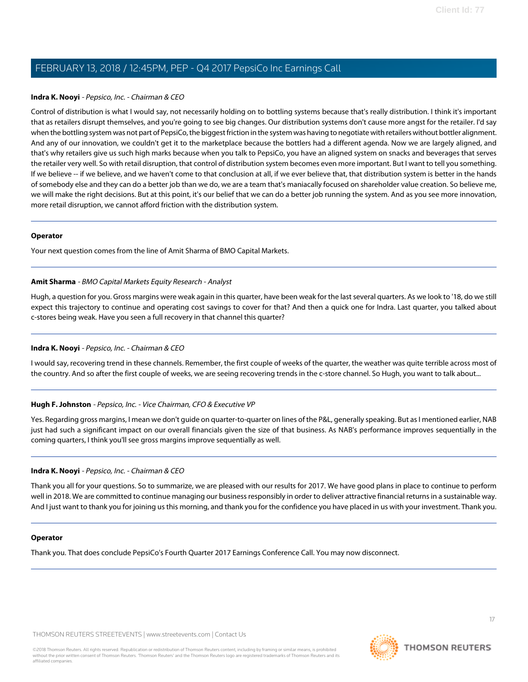# **Indra K. Nooyi** - Pepsico, Inc. - Chairman & CEO

Control of distribution is what I would say, not necessarily holding on to bottling systems because that's really distribution. I think it's important that as retailers disrupt themselves, and you're going to see big changes. Our distribution systems don't cause more angst for the retailer. I'd say when the bottling system was not part of PepsiCo, the biggest friction in the system was having to negotiate with retailers without bottler alignment. And any of our innovation, we couldn't get it to the marketplace because the bottlers had a different agenda. Now we are largely aligned, and that's why retailers give us such high marks because when you talk to PepsiCo, you have an aligned system on snacks and beverages that serves the retailer very well. So with retail disruption, that control of distribution system becomes even more important. But I want to tell you something. If we believe -- if we believe, and we haven't come to that conclusion at all, if we ever believe that, that distribution system is better in the hands of somebody else and they can do a better job than we do, we are a team that's maniacally focused on shareholder value creation. So believe me, we will make the right decisions. But at this point, it's our belief that we can do a better job running the system. And as you see more innovation, more retail disruption, we cannot afford friction with the distribution system.

# **Operator**

<span id="page-16-0"></span>Your next question comes from the line of Amit Sharma of BMO Capital Markets.

# **Amit Sharma** - BMO Capital Markets Equity Research - Analyst

Hugh, a question for you. Gross margins were weak again in this quarter, have been weak for the last several quarters. As we look to '18, do we still expect this trajectory to continue and operating cost savings to cover for that? And then a quick one for Indra. Last quarter, you talked about c-stores being weak. Have you seen a full recovery in that channel this quarter?

# **Indra K. Nooyi** - Pepsico, Inc. - Chairman & CEO

I would say, recovering trend in these channels. Remember, the first couple of weeks of the quarter, the weather was quite terrible across most of the country. And so after the first couple of weeks, we are seeing recovering trends in the c-store channel. So Hugh, you want to talk about...

# **Hugh F. Johnston** - Pepsico, Inc. - Vice Chairman, CFO & Executive VP

Yes. Regarding gross margins, I mean we don't guide on quarter-to-quarter on lines of the P&L, generally speaking. But as I mentioned earlier, NAB just had such a significant impact on our overall financials given the size of that business. As NAB's performance improves sequentially in the coming quarters, I think you'll see gross margins improve sequentially as well.

# **Indra K. Nooyi** - Pepsico, Inc. - Chairman & CEO

Thank you all for your questions. So to summarize, we are pleased with our results for 2017. We have good plans in place to continue to perform well in 2018. We are committed to continue managing our business responsibly in order to deliver attractive financial returns in a sustainable way. And I just want to thank you for joining us this morning, and thank you for the confidence you have placed in us with your investment. Thank you.

# **Operator**

Thank you. That does conclude PepsiCo's Fourth Quarter 2017 Earnings Conference Call. You may now disconnect.